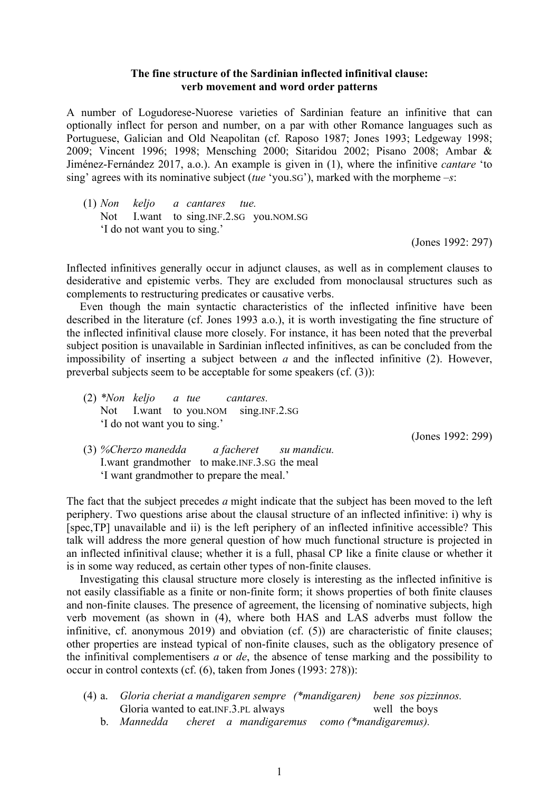## **The fine structure of the Sardinian inflected infinitival clause: verb movement and word order patterns**

A number of Logudorese-Nuorese varieties of Sardinian feature an infinitive that can optionally inflect for person and number, on a par with other Romance languages such as Portuguese, Galician and Old Neapolitan (cf. Raposo 1987; Jones 1993; Ledgeway 1998; 2009; Vincent 1996; 1998; Mensching 2000; Sitaridou 2002; Pisano 2008; Ambar & Jiménez-Fernández 2017, a.o.). An example is given in (1), where the infinitive *cantare* 'to sing' agrees with its nominative subject (*tue* 'you.SG'), marked with the morpheme *–s*:

(1) *Non keljo a cantares tue.* Not I.want to sing.INF.2.SG you.NOM.SG 'I do not want you to sing.'

(Jones 1992: 297)

Inflected infinitives generally occur in adjunct clauses, as well as in complement clauses to desiderative and epistemic verbs. They are excluded from monoclausal structures such as complements to restructuring predicates or causative verbs.

Even though the main syntactic characteristics of the inflected infinitive have been described in the literature (cf. Jones 1993 a.o.), it is worth investigating the fine structure of the inflected infinitival clause more closely. For instance, it has been noted that the preverbal subject position is unavailable in Sardinian inflected infinitives, as can be concluded from the impossibility of inserting a subject between *a* and the inflected infinitive (2). However, preverbal subjects seem to be acceptable for some speakers (cf. (3)):

(2) *\*Non keljo a tue cantares.* Not I.want to you.NOM sing.INF.2.SG 'I do not want you to sing.'

(Jones 1992: 299)

(3) *%Cherzo manedda a facheret su mandicu.* I.want grandmother to make.INF.3.SG the meal 'I want grandmother to prepare the meal.'

The fact that the subject precedes *a* might indicate that the subject has been moved to the left periphery. Two questions arise about the clausal structure of an inflected infinitive: i) why is [spec,TP] unavailable and ii) is the left periphery of an inflected infinitive accessible? This talk will address the more general question of how much functional structure is projected in an inflected infinitival clause; whether it is a full, phasal CP like a finite clause or whether it is in some way reduced, as certain other types of non-finite clauses.

Investigating this clausal structure more closely is interesting as the inflected infinitive is not easily classifiable as a finite or non-finite form; it shows properties of both finite clauses and non-finite clauses. The presence of agreement, the licensing of nominative subjects, high verb movement (as shown in (4), where both HAS and LAS adverbs must follow the infinitive, cf. anonymous 2019) and obviation (cf. (5)) are characteristic of finite clauses; other properties are instead typical of non-finite clauses, such as the obligatory presence of the infinitival complementisers *a* or *de*, the absence of tense marking and the possibility to occur in control contexts (cf. (6), taken from Jones (1993: 278)):

- (4) a. *Gloria cheriat a mandigaren sempre (\*mandigaren) bene sos pizzinnos.* Gloria wanted to eat. INF. 3. PL always well the boys
	- b. *Mannedda cheret a mandigaremus como (\*mandigaremus).*